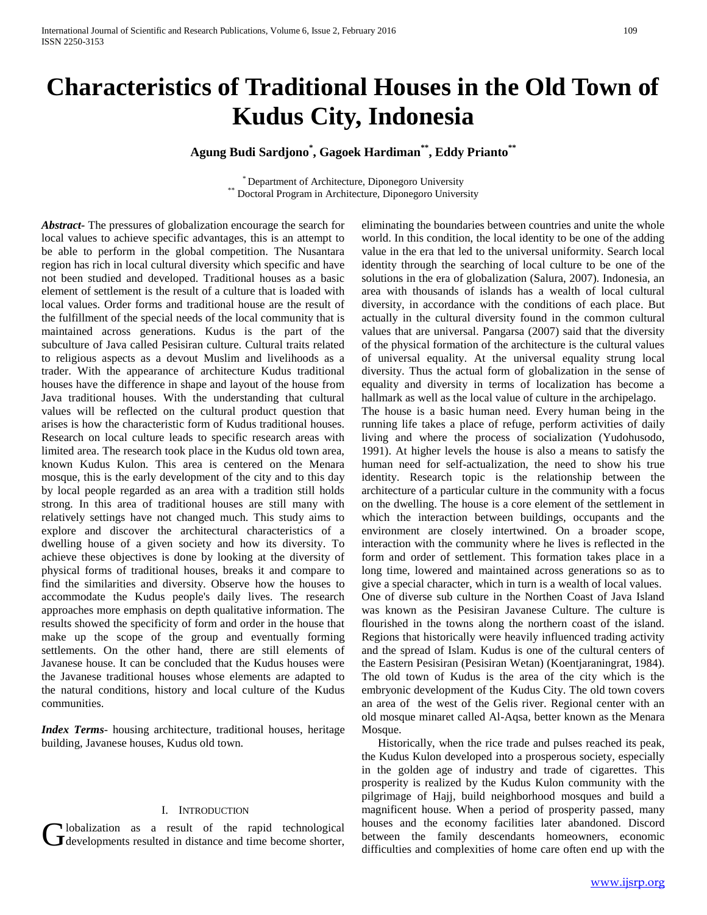# **Characteristics of Traditional Houses in the Old Town of Kudus City, Indonesia**

### **Agung Budi Sardjono\* , Gagoek Hardiman\*\* , Eddy Prianto\*\***

\* Department of Architecture, Diponegoro University \*\* Doctoral Program in Architecture, Diponegoro University

*Abstract***-** The pressures of globalization encourage the search for local values to achieve specific advantages, this is an attempt to be able to perform in the global competition. The Nusantara region has rich in local cultural diversity which specific and have not been studied and developed. Traditional houses as a basic element of settlement is the result of a culture that is loaded with local values. Order forms and traditional house are the result of the fulfillment of the special needs of the local community that is maintained across generations. Kudus is the part of the subculture of Java called Pesisiran culture. Cultural traits related to religious aspects as a devout Muslim and livelihoods as a trader. With the appearance of architecture Kudus traditional houses have the difference in shape and layout of the house from Java traditional houses. With the understanding that cultural values will be reflected on the cultural product question that arises is how the characteristic form of Kudus traditional houses. Research on local culture leads to specific research areas with limited area. The research took place in the Kudus old town area, known Kudus Kulon. This area is centered on the Menara mosque, this is the early development of the city and to this day by local people regarded as an area with a tradition still holds strong. In this area of traditional houses are still many with relatively settings have not changed much. This study aims to explore and discover the architectural characteristics of a dwelling house of a given society and how its diversity. To achieve these objectives is done by looking at the diversity of physical forms of traditional houses, breaks it and compare to find the similarities and diversity. Observe how the houses to accommodate the Kudus people's daily lives. The research approaches more emphasis on depth qualitative information. The results showed the specificity of form and order in the house that make up the scope of the group and eventually forming settlements. On the other hand, there are still elements of Javanese house. It can be concluded that the Kudus houses were the Javanese traditional houses whose elements are adapted to the natural conditions, history and local culture of the Kudus communities.

*Index Terms*- housing architecture, traditional houses, heritage building, Javanese houses, Kudus old town.

#### I. INTRODUCTION

lobalization as a result of the rapid technological **J** developments resulted in distance and time become shorter, eliminating the boundaries between countries and unite the whole world. In this condition, the local identity to be one of the adding value in the era that led to the universal uniformity. Search local identity through the searching of local culture to be one of the solutions in the era of globalization (Salura, 2007). Indonesia, an area with thousands of islands has a wealth of local cultural diversity, in accordance with the conditions of each place. But actually in the cultural diversity found in the common cultural values that are universal. Pangarsa (2007) said that the diversity of the physical formation of the architecture is the cultural values of universal equality. At the universal equality strung local diversity. Thus the actual form of globalization in the sense of equality and diversity in terms of localization has become a hallmark as well as the local value of culture in the archipelago. The house is a basic human need. Every human being in the running life takes a place of refuge, perform activities of daily living and where the process of socialization (Yudohusodo, 1991). At higher levels the house is also a means to satisfy the human need for self-actualization, the need to show his true identity. Research topic is the relationship between the architecture of a particular culture in the community with a focus on the dwelling. The house is a core element of the settlement in which the interaction between buildings, occupants and the environment are closely intertwined. On a broader scope, interaction with the community where he lives is reflected in the form and order of settlement. This formation takes place in a long time, lowered and maintained across generations so as to give a special character, which in turn is a wealth of local values. One of diverse sub culture in the Northen Coast of Java Island was known as the Pesisiran Javanese Culture. The culture is flourished in the towns along the northern coast of the island. Regions that historically were heavily influenced trading activity and the spread of Islam. Kudus is one of the cultural centers of the Eastern Pesisiran (Pesisiran Wetan) (Koentjaraningrat, 1984). The old town of Kudus is the area of the city which is the embryonic development of the Kudus City. The old town covers an area of the west of the Gelis river. Regional center with an old mosque minaret called Al-Aqsa, better known as the Menara Mosque.

Historically, when the rice trade and pulses reached its peak, the Kudus Kulon developed into a prosperous society, especially in the golden age of industry and trade of cigarettes. This prosperity is realized by the Kudus Kulon community with the pilgrimage of Hajj, build neighborhood mosques and build a magnificent house. When a period of prosperity passed, many houses and the economy facilities later abandoned. Discord between the family descendants homeowners, economic difficulties and complexities of home care often end up with the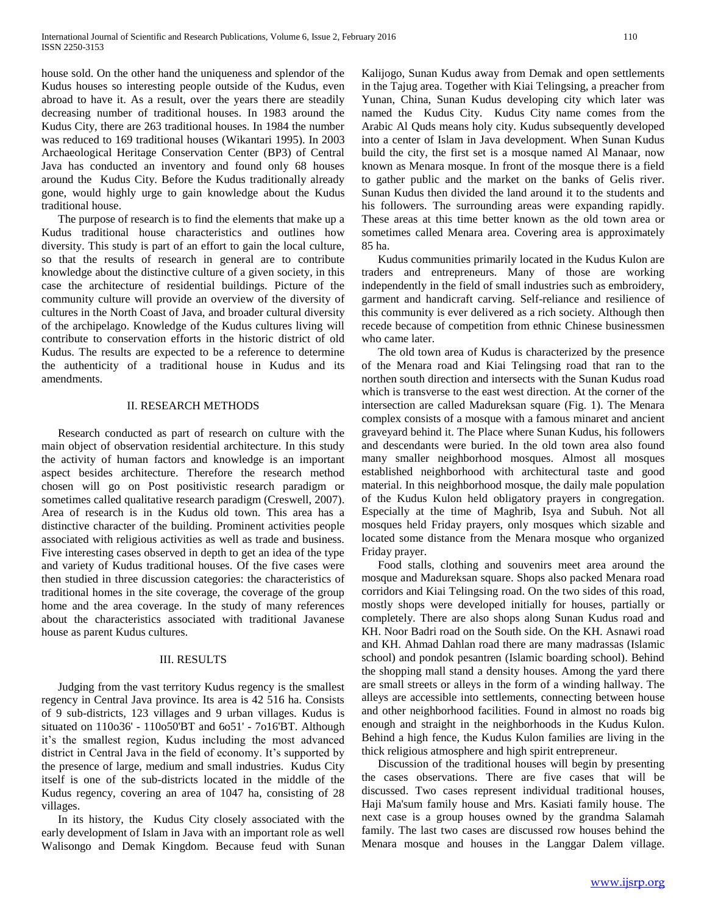house sold. On the other hand the uniqueness and splendor of the Kudus houses so interesting people outside of the Kudus, even abroad to have it. As a result, over the years there are steadily decreasing number of traditional houses. In 1983 around the Kudus City, there are 263 traditional houses. In 1984 the number was reduced to 169 traditional houses (Wikantari 1995). In 2003 Archaeological Heritage Conservation Center (BP3) of Central Java has conducted an inventory and found only 68 houses around the Kudus City. Before the Kudus traditionally already gone, would highly urge to gain knowledge about the Kudus traditional house.

The purpose of research is to find the elements that make up a Kudus traditional house characteristics and outlines how diversity. This study is part of an effort to gain the local culture, so that the results of research in general are to contribute knowledge about the distinctive culture of a given society, in this case the architecture of residential buildings. Picture of the community culture will provide an overview of the diversity of cultures in the North Coast of Java, and broader cultural diversity of the archipelago. Knowledge of the Kudus cultures living will contribute to conservation efforts in the historic district of old Kudus. The results are expected to be a reference to determine the authenticity of a traditional house in Kudus and its amendments.

#### II. RESEARCH METHODS

Research conducted as part of research on culture with the main object of observation residential architecture. In this study the activity of human factors and knowledge is an important aspect besides architecture. Therefore the research method chosen will go on Post positivistic research paradigm or sometimes called qualitative research paradigm (Creswell, 2007). Area of research is in the Kudus old town. This area has a distinctive character of the building. Prominent activities people associated with religious activities as well as trade and business. Five interesting cases observed in depth to get an idea of the type and variety of Kudus traditional houses. Of the five cases were then studied in three discussion categories: the characteristics of traditional homes in the site coverage, the coverage of the group home and the area coverage. In the study of many references about the characteristics associated with traditional Javanese house as parent Kudus cultures.

#### III. RESULTS

Judging from the vast territory Kudus regency is the smallest regency in Central Java province. Its area is 42 516 ha. Consists of 9 sub-districts, 123 villages and 9 urban villages. Kudus is situated on 110o36' - 110o50'BT and 6o51' - 7o16'BT. Although it's the smallest region, Kudus including the most advanced district in Central Java in the field of economy. It's supported by the presence of large, medium and small industries. Kudus City itself is one of the sub-districts located in the middle of the Kudus regency, covering an area of 1047 ha, consisting of 28 villages.

In its history, the Kudus City closely associated with the early development of Islam in Java with an important role as well Walisongo and Demak Kingdom. Because feud with Sunan

Kalijogo, Sunan Kudus away from Demak and open settlements in the Tajug area. Together with Kiai Telingsing, a preacher from Yunan, China, Sunan Kudus developing city which later was named the Kudus City. Kudus City name comes from the Arabic Al Quds means holy city. Kudus subsequently developed into a center of Islam in Java development. When Sunan Kudus build the city, the first set is a mosque named Al Manaar, now known as Menara mosque. In front of the mosque there is a field to gather public and the market on the banks of Gelis river. Sunan Kudus then divided the land around it to the students and his followers. The surrounding areas were expanding rapidly. These areas at this time better known as the old town area or sometimes called Menara area. Covering area is approximately 85 ha.

Kudus communities primarily located in the Kudus Kulon are traders and entrepreneurs. Many of those are working independently in the field of small industries such as embroidery, garment and handicraft carving. Self-reliance and resilience of this community is ever delivered as a rich society. Although then recede because of competition from ethnic Chinese businessmen who came later.

The old town area of Kudus is characterized by the presence of the Menara road and Kiai Telingsing road that ran to the northen south direction and intersects with the Sunan Kudus road which is transverse to the east west direction. At the corner of the intersection are called Madureksan square (Fig. 1). The Menara complex consists of a mosque with a famous minaret and ancient graveyard behind it. The Place where Sunan Kudus, his followers and descendants were buried. In the old town area also found many smaller neighborhood mosques. Almost all mosques established neighborhood with architectural taste and good material. In this neighborhood mosque, the daily male population of the Kudus Kulon held obligatory prayers in congregation. Especially at the time of Maghrib, Isya and Subuh. Not all mosques held Friday prayers, only mosques which sizable and located some distance from the Menara mosque who organized Friday prayer.

Food stalls, clothing and souvenirs meet area around the mosque and Madureksan square. Shops also packed Menara road corridors and Kiai Telingsing road. On the two sides of this road, mostly shops were developed initially for houses, partially or completely. There are also shops along Sunan Kudus road and KH. Noor Badri road on the South side. On the KH. Asnawi road and KH. Ahmad Dahlan road there are many madrassas (Islamic school) and pondok pesantren (Islamic boarding school). Behind the shopping mall stand a density houses. Among the yard there are small streets or alleys in the form of a winding hallway. The alleys are accessible into settlements, connecting between house and other neighborhood facilities. Found in almost no roads big enough and straight in the neighborhoods in the Kudus Kulon. Behind a high fence, the Kudus Kulon families are living in the thick religious atmosphere and high spirit entrepreneur.

Discussion of the traditional houses will begin by presenting the cases observations. There are five cases that will be discussed. Two cases represent individual traditional houses, Haji Ma'sum family house and Mrs. Kasiati family house. The next case is a group houses owned by the grandma Salamah family. The last two cases are discussed row houses behind the Menara mosque and houses in the Langgar Dalem village.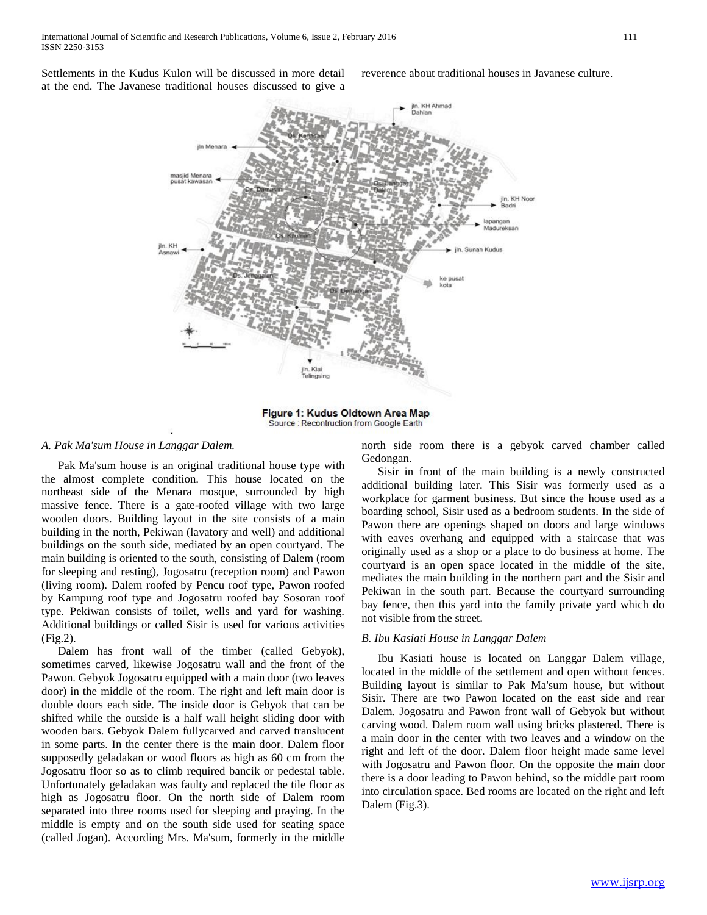Settlements in the Kudus Kulon will be discussed in more detail at the end. The Javanese traditional houses discussed to give a

reverence about traditional houses in Javanese culture.



Figure 1: Kudus Oldtown Area Map Source : Recontruction from Google Earth

#### *A. Pak Ma'sum House in Langgar Dalem.*

Pak Ma'sum house is an original traditional house type with the almost complete condition. This house located on the northeast side of the Menara mosque, surrounded by high massive fence. There is a gate-roofed village with two large wooden doors. Building layout in the site consists of a main building in the north, Pekiwan (lavatory and well) and additional buildings on the south side, mediated by an open courtyard. The main building is oriented to the south, consisting of Dalem (room for sleeping and resting), Jogosatru (reception room) and Pawon (living room). Dalem roofed by Pencu roof type, Pawon roofed by Kampung roof type and Jogosatru roofed bay Sosoran roof type. Pekiwan consists of toilet, wells and yard for washing. Additional buildings or called Sisir is used for various activities (Fig.2).

Dalem has front wall of the timber (called Gebyok), sometimes carved, likewise Jogosatru wall and the front of the Pawon. Gebyok Jogosatru equipped with a main door (two leaves door) in the middle of the room. The right and left main door is double doors each side. The inside door is Gebyok that can be shifted while the outside is a half wall height sliding door with wooden bars. Gebyok Dalem fullycarved and carved translucent in some parts. In the center there is the main door. Dalem floor supposedly geladakan or wood floors as high as 60 cm from the Jogosatru floor so as to climb required bancik or pedestal table. Unfortunately geladakan was faulty and replaced the tile floor as high as Jogosatru floor. On the north side of Dalem room separated into three rooms used for sleeping and praying. In the middle is empty and on the south side used for seating space (called Jogan). According Mrs. Ma'sum, formerly in the middle

north side room there is a gebyok carved chamber called Gedongan.

Sisir in front of the main building is a newly constructed additional building later. This Sisir was formerly used as a workplace for garment business. But since the house used as a boarding school, Sisir used as a bedroom students. In the side of Pawon there are openings shaped on doors and large windows with eaves overhang and equipped with a staircase that was originally used as a shop or a place to do business at home. The courtyard is an open space located in the middle of the site, mediates the main building in the northern part and the Sisir and Pekiwan in the south part. Because the courtyard surrounding bay fence, then this yard into the family private yard which do not visible from the street.

#### *B. Ibu Kasiati House in Langgar Dalem*

Ibu Kasiati house is located on Langgar Dalem village, located in the middle of the settlement and open without fences. Building layout is similar to Pak Ma'sum house, but without Sisir. There are two Pawon located on the east side and rear Dalem. Jogosatru and Pawon front wall of Gebyok but without carving wood. Dalem room wall using bricks plastered. There is a main door in the center with two leaves and a window on the right and left of the door. Dalem floor height made same level with Jogosatru and Pawon floor. On the opposite the main door there is a door leading to Pawon behind, so the middle part room into circulation space. Bed rooms are located on the right and left Dalem (Fig.3).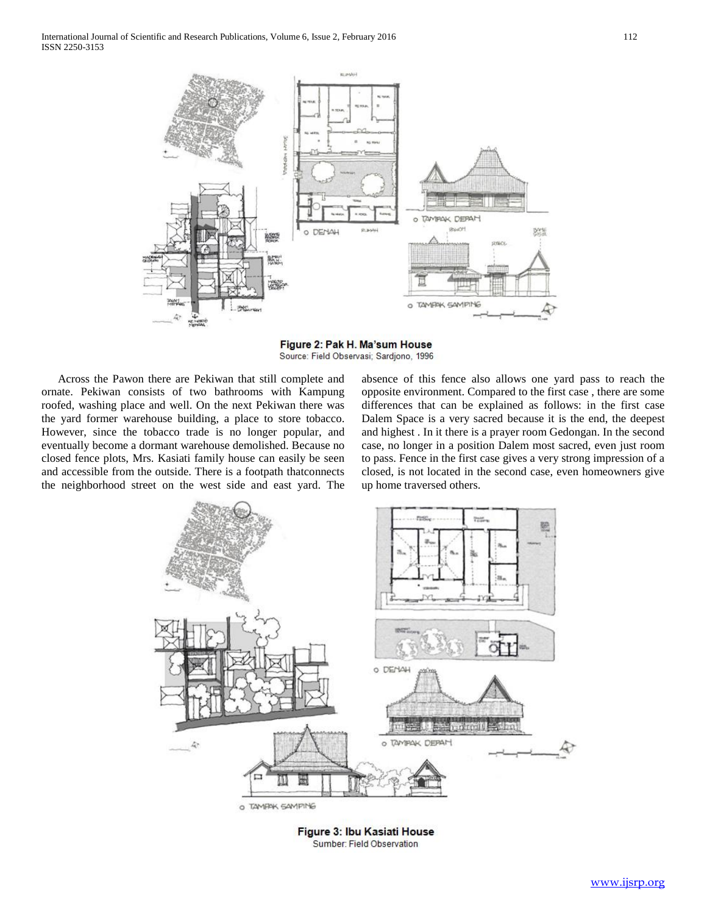

Figure 2: Pak H. Ma'sum House Source: Field Observasi; Sardjono, 1996

Across the Pawon there are Pekiwan that still complete and ornate. Pekiwan consists of two bathrooms with Kampung roofed, washing place and well. On the next Pekiwan there was the yard former warehouse building, a place to store tobacco. However, since the tobacco trade is no longer popular, and eventually become a dormant warehouse demolished. Because no closed fence plots, Mrs. Kasiati family house can easily be seen and accessible from the outside. There is a footpath thatconnects the neighborhood street on the west side and east yard. The

absence of this fence also allows one yard pass to reach the opposite environment. Compared to the first case , there are some differences that can be explained as follows: in the first case Dalem Space is a very sacred because it is the end, the deepest and highest . In it there is a prayer room Gedongan. In the second case, no longer in a position Dalem most sacred, even just room to pass. Fence in the first case gives a very strong impression of a closed, is not located in the second case, even homeowners give up home traversed others.



Figure 3: Ibu Kasiati House Sumber: Field Observation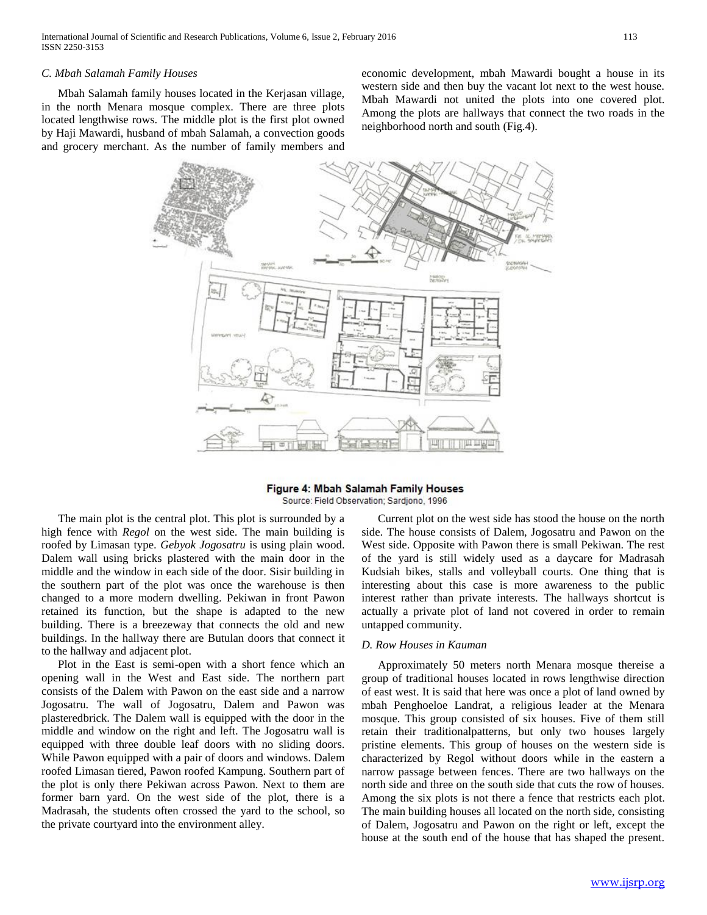#### *C. Mbah Salamah Family Houses*

Mbah Salamah family houses located in the Kerjasan village, in the north Menara mosque complex. There are three plots located lengthwise rows. The middle plot is the first plot owned by Haji Mawardi, husband of mbah Salamah, a convection goods and grocery merchant. As the number of family members and economic development, mbah Mawardi bought a house in its western side and then buy the vacant lot next to the west house. Mbah Mawardi not united the plots into one covered plot. Among the plots are hallways that connect the two roads in the neighborhood north and south (Fig.4).



## Figure 4: Mbah Salamah Family Houses

Source: Field Observation; Sardjono, 1996

The main plot is the central plot. This plot is surrounded by a high fence with *Regol* on the west side. The main building is roofed by Limasan type. *Gebyok Jogosatru* is using plain wood. Dalem wall using bricks plastered with the main door in the middle and the window in each side of the door. Sisir building in the southern part of the plot was once the warehouse is then changed to a more modern dwelling. Pekiwan in front Pawon retained its function, but the shape is adapted to the new building. There is a breezeway that connects the old and new buildings. In the hallway there are Butulan doors that connect it to the hallway and adjacent plot.

Plot in the East is semi-open with a short fence which an opening wall in the West and East side. The northern part consists of the Dalem with Pawon on the east side and a narrow Jogosatru. The wall of Jogosatru, Dalem and Pawon was plasteredbrick. The Dalem wall is equipped with the door in the middle and window on the right and left. The Jogosatru wall is equipped with three double leaf doors with no sliding doors. While Pawon equipped with a pair of doors and windows. Dalem roofed Limasan tiered, Pawon roofed Kampung. Southern part of the plot is only there Pekiwan across Pawon. Next to them are former barn yard. On the west side of the plot, there is a Madrasah, the students often crossed the yard to the school, so the private courtyard into the environment alley.

Current plot on the west side has stood the house on the north side. The house consists of Dalem, Jogosatru and Pawon on the West side. Opposite with Pawon there is small Pekiwan. The rest of the yard is still widely used as a daycare for Madrasah Kudsiah bikes, stalls and volleyball courts. One thing that is interesting about this case is more awareness to the public interest rather than private interests. The hallways shortcut is actually a private plot of land not covered in order to remain untapped community.

#### *D. Row Houses in Kauman*

Approximately 50 meters north Menara mosque thereise a group of traditional houses located in rows lengthwise direction of east west. It is said that here was once a plot of land owned by mbah Penghoeloe Landrat, a religious leader at the Menara mosque. This group consisted of six houses. Five of them still retain their traditionalpatterns, but only two houses largely pristine elements. This group of houses on the western side is characterized by Regol without doors while in the eastern a narrow passage between fences. There are two hallways on the north side and three on the south side that cuts the row of houses. Among the six plots is not there a fence that restricts each plot. The main building houses all located on the north side, consisting of Dalem, Jogosatru and Pawon on the right or left, except the house at the south end of the house that has shaped the present.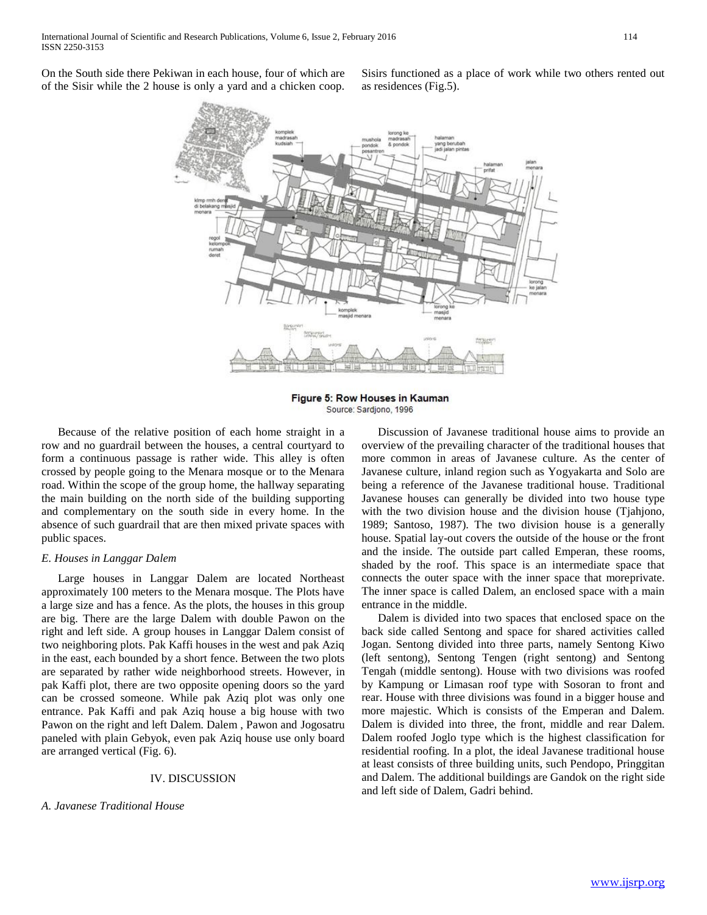On the South side there Pekiwan in each house, four of which are of the Sisir while the 2 house is only a yard and a chicken coop. Sisirs functioned as a place of work while two others rented out as residences (Fig.5).



Figure 5: Row Houses in Kauman Source: Sardiono, 1996

Because of the relative position of each home straight in a row and no guardrail between the houses, a central courtyard to form a continuous passage is rather wide. This alley is often crossed by people going to the Menara mosque or to the Menara road. Within the scope of the group home, the hallway separating the main building on the north side of the building supporting and complementary on the south side in every home. In the absence of such guardrail that are then mixed private spaces with public spaces.

#### *E. Houses in Langgar Dalem*

Large houses in Langgar Dalem are located Northeast approximately 100 meters to the Menara mosque. The Plots have a large size and has a fence. As the plots, the houses in this group are big. There are the large Dalem with double Pawon on the right and left side. A group houses in Langgar Dalem consist of two neighboring plots. Pak Kaffi houses in the west and pak Aziq in the east, each bounded by a short fence. Between the two plots are separated by rather wide neighborhood streets. However, in pak Kaffi plot, there are two opposite opening doors so the yard can be crossed someone. While pak Aziq plot was only one entrance. Pak Kaffi and pak Aziq house a big house with two Pawon on the right and left Dalem. Dalem , Pawon and Jogosatru paneled with plain Gebyok, even pak Aziq house use only board are arranged vertical (Fig. 6).

#### IV. DISCUSSION

#### *A. Javanese Traditional House*

Discussion of Javanese traditional house aims to provide an overview of the prevailing character of the traditional houses that more common in areas of Javanese culture. As the center of Javanese culture, inland region such as Yogyakarta and Solo are being a reference of the Javanese traditional house. Traditional Javanese houses can generally be divided into two house type with the two division house and the division house (Tjahjono, 1989; Santoso, 1987). The two division house is a generally house. Spatial lay-out covers the outside of the house or the front and the inside. The outside part called Emperan, these rooms, shaded by the roof. This space is an intermediate space that connects the outer space with the inner space that moreprivate. The inner space is called Dalem, an enclosed space with a main entrance in the middle.

Dalem is divided into two spaces that enclosed space on the back side called Sentong and space for shared activities called Jogan. Sentong divided into three parts, namely Sentong Kiwo (left sentong), Sentong Tengen (right sentong) and Sentong Tengah (middle sentong). House with two divisions was roofed by Kampung or Limasan roof type with Sosoran to front and rear. House with three divisions was found in a bigger house and more majestic. Which is consists of the Emperan and Dalem. Dalem is divided into three, the front, middle and rear Dalem. Dalem roofed Joglo type which is the highest classification for residential roofing. In a plot, the ideal Javanese traditional house at least consists of three building units, such Pendopo, Pringgitan and Dalem. The additional buildings are Gandok on the right side and left side of Dalem, Gadri behind.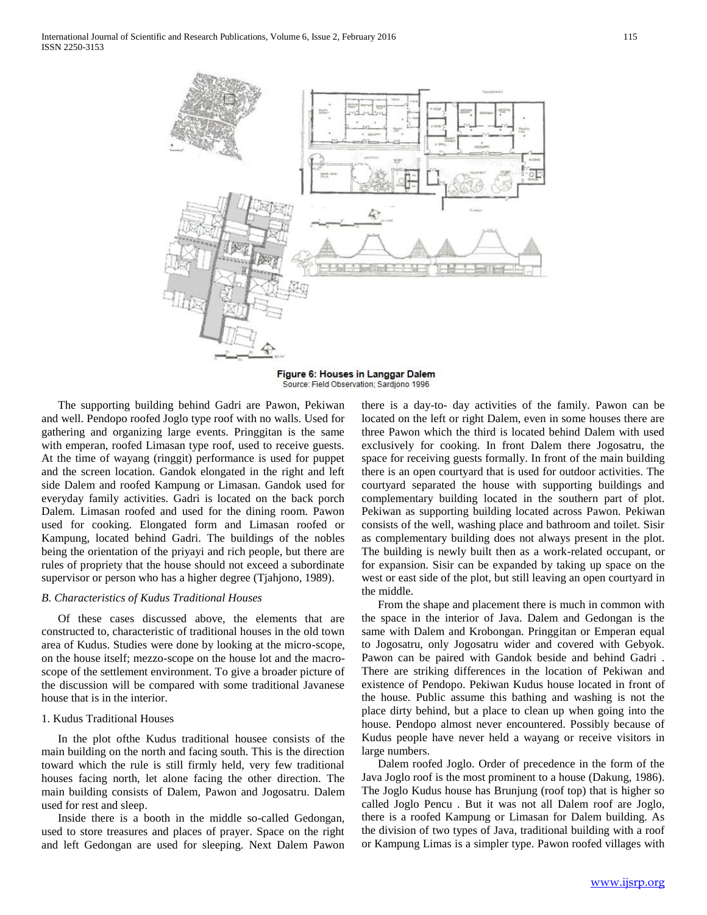

Figure 6: Houses in Langgar Dalem Source: Field Observation: Sardiono 1996

The supporting building behind Gadri are Pawon, Pekiwan and well. Pendopo roofed Joglo type roof with no walls. Used for gathering and organizing large events. Pringgitan is the same with emperan, roofed Limasan type roof, used to receive guests. At the time of wayang (ringgit) performance is used for puppet and the screen location. Gandok elongated in the right and left side Dalem and roofed Kampung or Limasan. Gandok used for everyday family activities. Gadri is located on the back porch Dalem. Limasan roofed and used for the dining room. Pawon used for cooking. Elongated form and Limasan roofed or Kampung, located behind Gadri. The buildings of the nobles being the orientation of the priyayi and rich people, but there are rules of propriety that the house should not exceed a subordinate supervisor or person who has a higher degree (Tjahjono, 1989).

#### *B. Characteristics of Kudus Traditional Houses*

Of these cases discussed above, the elements that are constructed to, characteristic of traditional houses in the old town area of Kudus. Studies were done by looking at the micro-scope, on the house itself; mezzo-scope on the house lot and the macroscope of the settlement environment. To give a broader picture of the discussion will be compared with some traditional Javanese house that is in the interior.

#### 1. Kudus Traditional Houses

In the plot ofthe Kudus traditional housee consists of the main building on the north and facing south. This is the direction toward which the rule is still firmly held, very few traditional houses facing north, let alone facing the other direction. The main building consists of Dalem, Pawon and Jogosatru. Dalem used for rest and sleep.

Inside there is a booth in the middle so-called Gedongan, used to store treasures and places of prayer. Space on the right and left Gedongan are used for sleeping. Next Dalem Pawon

there is a day-to- day activities of the family. Pawon can be located on the left or right Dalem, even in some houses there are three Pawon which the third is located behind Dalem with used exclusively for cooking. In front Dalem there Jogosatru, the space for receiving guests formally. In front of the main building there is an open courtyard that is used for outdoor activities. The courtyard separated the house with supporting buildings and complementary building located in the southern part of plot. Pekiwan as supporting building located across Pawon. Pekiwan consists of the well, washing place and bathroom and toilet. Sisir as complementary building does not always present in the plot. The building is newly built then as a work-related occupant, or for expansion. Sisir can be expanded by taking up space on the west or east side of the plot, but still leaving an open courtyard in the middle.

From the shape and placement there is much in common with the space in the interior of Java. Dalem and Gedongan is the same with Dalem and Krobongan. Pringgitan or Emperan equal to Jogosatru, only Jogosatru wider and covered with Gebyok. Pawon can be paired with Gandok beside and behind Gadri . There are striking differences in the location of Pekiwan and existence of Pendopo. Pekiwan Kudus house located in front of the house. Public assume this bathing and washing is not the place dirty behind, but a place to clean up when going into the house. Pendopo almost never encountered. Possibly because of Kudus people have never held a wayang or receive visitors in large numbers.

Dalem roofed Joglo. Order of precedence in the form of the Java Joglo roof is the most prominent to a house (Dakung, 1986). The Joglo Kudus house has Brunjung (roof top) that is higher so called Joglo Pencu . But it was not all Dalem roof are Joglo, there is a roofed Kampung or Limasan for Dalem building. As the division of two types of Java, traditional building with a roof or Kampung Limas is a simpler type. Pawon roofed villages with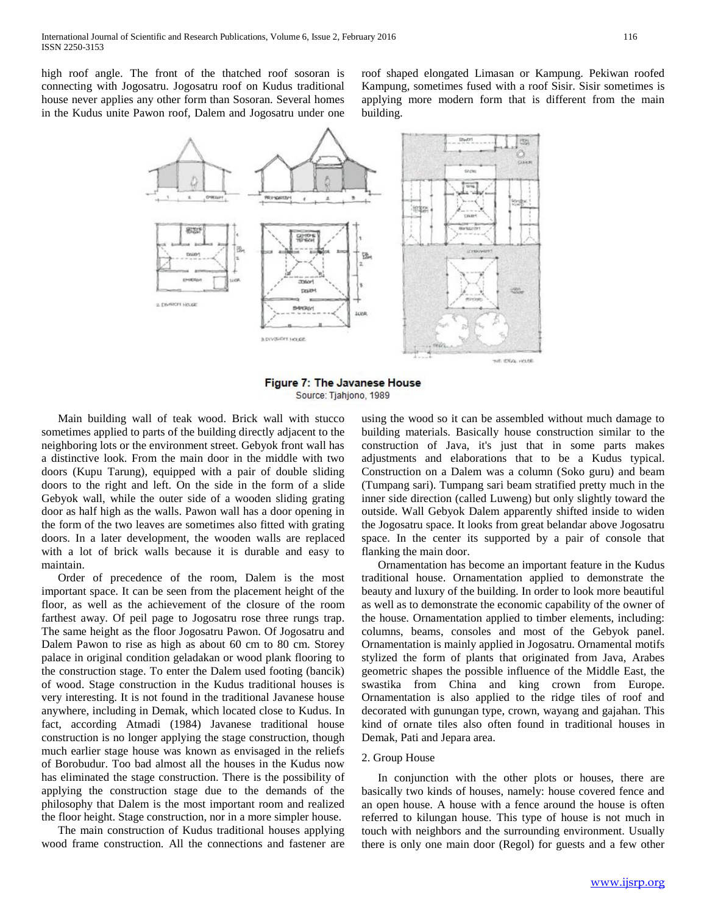high roof angle. The front of the thatched roof sosoran is connecting with Jogosatru. Jogosatru roof on Kudus traditional house never applies any other form than Sosoran. Several homes in the Kudus unite Pawon roof, Dalem and Jogosatru under one roof shaped elongated Limasan or Kampung. Pekiwan roofed Kampung, sometimes fused with a roof Sisir. Sisir sometimes is applying more modern form that is different from the main building.



Figure 7: The Javanese House Source: Tjahjono, 1989

Main building wall of teak wood. Brick wall with stucco sometimes applied to parts of the building directly adjacent to the neighboring lots or the environment street. Gebyok front wall has a distinctive look. From the main door in the middle with two doors (Kupu Tarung), equipped with a pair of double sliding doors to the right and left. On the side in the form of a slide Gebyok wall, while the outer side of a wooden sliding grating door as half high as the walls. Pawon wall has a door opening in the form of the two leaves are sometimes also fitted with grating doors. In a later development, the wooden walls are replaced with a lot of brick walls because it is durable and easy to maintain.

Order of precedence of the room, Dalem is the most important space. It can be seen from the placement height of the floor, as well as the achievement of the closure of the room farthest away. Of peil page to Jogosatru rose three rungs trap. The same height as the floor Jogosatru Pawon. Of Jogosatru and Dalem Pawon to rise as high as about 60 cm to 80 cm. Storey palace in original condition geladakan or wood plank flooring to the construction stage. To enter the Dalem used footing (bancik) of wood. Stage construction in the Kudus traditional houses is very interesting. It is not found in the traditional Javanese house anywhere, including in Demak, which located close to Kudus. In fact, according Atmadi (1984) Javanese traditional house construction is no longer applying the stage construction, though much earlier stage house was known as envisaged in the reliefs of Borobudur. Too bad almost all the houses in the Kudus now has eliminated the stage construction. There is the possibility of applying the construction stage due to the demands of the philosophy that Dalem is the most important room and realized the floor height. Stage construction, nor in a more simpler house.

The main construction of Kudus traditional houses applying wood frame construction. All the connections and fastener are using the wood so it can be assembled without much damage to building materials. Basically house construction similar to the construction of Java, it's just that in some parts makes adjustments and elaborations that to be a Kudus typical. Construction on a Dalem was a column (Soko guru) and beam (Tumpang sari). Tumpang sari beam stratified pretty much in the inner side direction (called Luweng) but only slightly toward the outside. Wall Gebyok Dalem apparently shifted inside to widen the Jogosatru space. It looks from great belandar above Jogosatru space. In the center its supported by a pair of console that flanking the main door.

Ornamentation has become an important feature in the Kudus traditional house. Ornamentation applied to demonstrate the beauty and luxury of the building. In order to look more beautiful as well as to demonstrate the economic capability of the owner of the house. Ornamentation applied to timber elements, including: columns, beams, consoles and most of the Gebyok panel. Ornamentation is mainly applied in Jogosatru. Ornamental motifs stylized the form of plants that originated from Java, Arabes geometric shapes the possible influence of the Middle East, the swastika from China and king crown from Europe. Ornamentation is also applied to the ridge tiles of roof and decorated with gunungan type, crown, wayang and gajahan. This kind of ornate tiles also often found in traditional houses in Demak, Pati and Jepara area.

#### 2. Group House

In conjunction with the other plots or houses, there are basically two kinds of houses, namely: house covered fence and an open house. A house with a fence around the house is often referred to kilungan house. This type of house is not much in touch with neighbors and the surrounding environment. Usually there is only one main door (Regol) for guests and a few other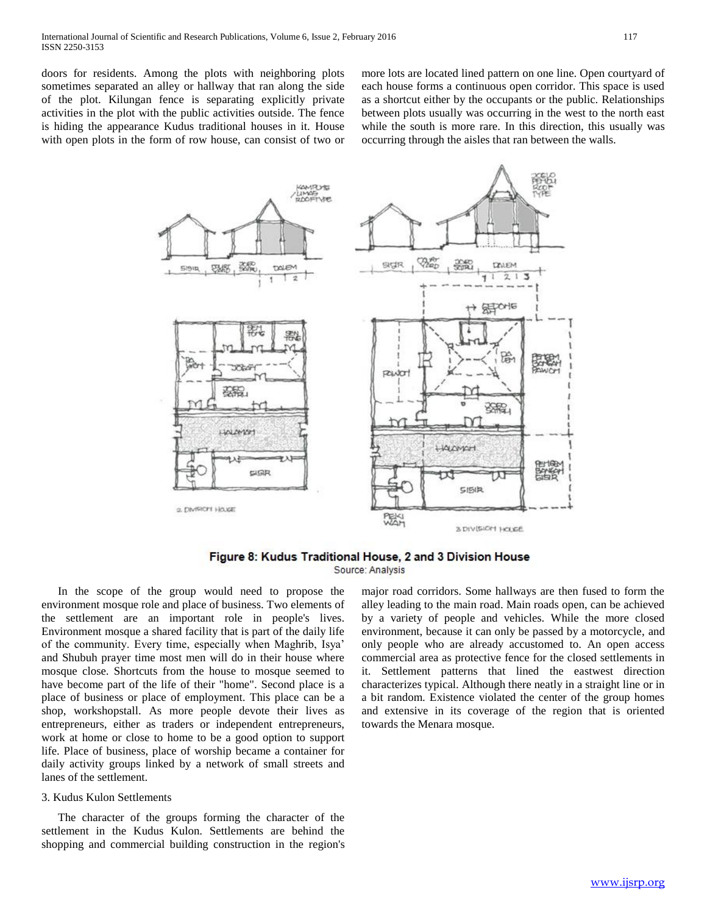doors for residents. Among the plots with neighboring plots sometimes separated an alley or hallway that ran along the side of the plot. Kilungan fence is separating explicitly private activities in the plot with the public activities outside. The fence is hiding the appearance Kudus traditional houses in it. House with open plots in the form of row house, can consist of two or

more lots are located lined pattern on one line. Open courtyard of each house forms a continuous open corridor. This space is used as a shortcut either by the occupants or the public. Relationships between plots usually was occurring in the west to the north east while the south is more rare. In this direction, this usually was occurring through the aisles that ran between the walls.



Figure 8: Kudus Traditional House, 2 and 3 Division House Source: Analysis

In the scope of the group would need to propose the environment mosque role and place of business. Two elements of the settlement are an important role in people's lives. Environment mosque a shared facility that is part of the daily life of the community. Every time, especially when Maghrib, Isya' and Shubuh prayer time most men will do in their house where mosque close. Shortcuts from the house to mosque seemed to have become part of the life of their "home". Second place is a place of business or place of employment. This place can be a shop, workshopstall. As more people devote their lives as entrepreneurs, either as traders or independent entrepreneurs, work at home or close to home to be a good option to support life. Place of business, place of worship became a container for daily activity groups linked by a network of small streets and lanes of the settlement.

#### 3. Kudus Kulon Settlements

The character of the groups forming the character of the settlement in the Kudus Kulon. Settlements are behind the shopping and commercial building construction in the region's

major road corridors. Some hallways are then fused to form the alley leading to the main road. Main roads open, can be achieved by a variety of people and vehicles. While the more closed environment, because it can only be passed by a motorcycle, and only people who are already accustomed to. An open access commercial area as protective fence for the closed settlements in it. Settlement patterns that lined the eastwest direction characterizes typical. Although there neatly in a straight line or in a bit random. Existence violated the center of the group homes and extensive in its coverage of the region that is oriented towards the Menara mosque.